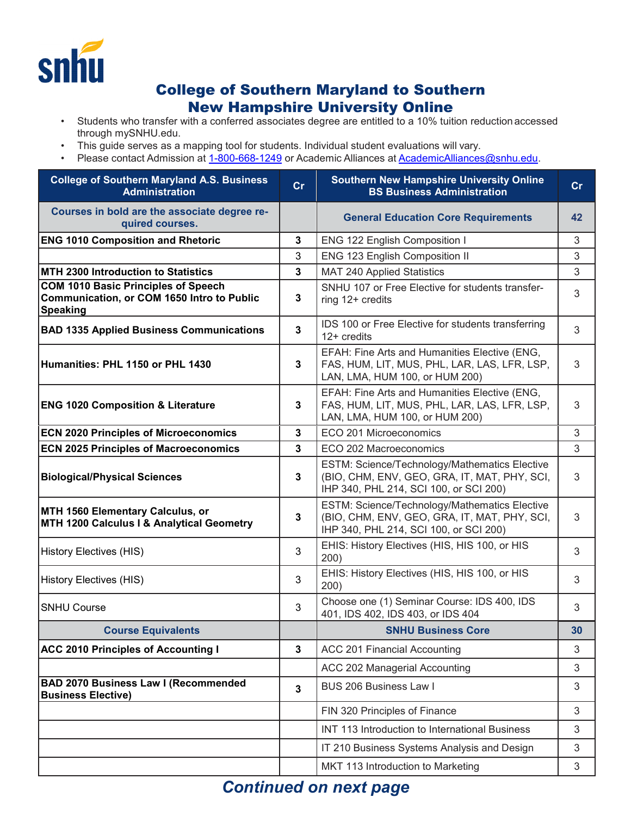

## College of Southern Maryland to Southern New Hampshire University Online

- Students who transfer with a conferred associates degree are entitled to a 10% tuition reduction accessed through mySNHU.edu.
- This guide serves as a mapping tool for students. Individual student evaluations will vary.
- Please contact Admission at [1-800-668-1249](tel:1-800-668-1249) or Academic Alliances at [AcademicAlliances@snhu.edu.](mailto:AcademicAlliances@snhu.edu)

| <b>College of Southern Maryland A.S. Business</b><br><b>Administration</b>                           | cr             | <b>Southern New Hampshire University Online</b><br><b>BS Business Administration</b>                                                    | cr |
|------------------------------------------------------------------------------------------------------|----------------|-----------------------------------------------------------------------------------------------------------------------------------------|----|
| Courses in bold are the associate degree re-<br>quired courses.                                      |                | <b>General Education Core Requirements</b>                                                                                              | 42 |
| <b>ENG 1010 Composition and Rhetoric</b>                                                             | $\mathbf 3$    | ENG 122 English Composition I                                                                                                           | 3  |
|                                                                                                      | 3              | ENG 123 English Composition II                                                                                                          | 3  |
| MTH 2300 Introduction to Statistics                                                                  | $\mathbf{3}$   | <b>MAT 240 Applied Statistics</b>                                                                                                       | 3  |
| <b>COM 1010 Basic Principles of Speech</b><br>Communication, or COM 1650 Intro to Public<br>Speaking | 3              | SNHU 107 or Free Elective for students transfer-<br>ring 12+ credits                                                                    | 3  |
| <b>BAD 1335 Applied Business Communications</b>                                                      | $\mathbf{3}$   | IDS 100 or Free Elective for students transferring<br>$12+$ credits                                                                     | 3  |
| Humanities: PHL 1150 or PHL 1430                                                                     | 3              | EFAH: Fine Arts and Humanities Elective (ENG,<br>FAS, HUM, LIT, MUS, PHL, LAR, LAS, LFR, LSP,<br>LAN, LMA, HUM 100, or HUM 200)         | 3  |
| <b>ENG 1020 Composition &amp; Literature</b>                                                         | 3              | EFAH: Fine Arts and Humanities Elective (ENG,<br>FAS, HUM, LIT, MUS, PHL, LAR, LAS, LFR, LSP,<br>LAN, LMA, HUM 100, or HUM 200)         | 3  |
| <b>ECN 2020 Principles of Microeconomics</b>                                                         | 3              | ECO 201 Microeconomics                                                                                                                  | 3  |
| <b>ECN 2025 Principles of Macroeconomics</b>                                                         | $\overline{3}$ | ECO 202 Macroeconomics                                                                                                                  | 3  |
| <b>Biological/Physical Sciences</b>                                                                  | 3              | ESTM: Science/Technology/Mathematics Elective<br>(BIO, CHM, ENV, GEO, GRA, IT, MAT, PHY, SCI,<br>IHP 340, PHL 214, SCI 100, or SCI 200) | 3  |
| MTH 1560 Elementary Calculus, or<br>MTH 1200 Calculus I & Analytical Geometry                        | 3              | ESTM: Science/Technology/Mathematics Elective<br>(BIO, CHM, ENV, GEO, GRA, IT, MAT, PHY, SCI,<br>IHP 340, PHL 214, SCI 100, or SCI 200) | 3  |
| History Electives (HIS)                                                                              | 3              | EHIS: History Electives (HIS, HIS 100, or HIS<br>200)                                                                                   | 3  |
| History Electives (HIS)                                                                              | 3              | EHIS: History Electives (HIS, HIS 100, or HIS<br>200)                                                                                   | 3  |
| <b>SNHU Course</b>                                                                                   | 3              | Choose one (1) Seminar Course: IDS 400, IDS<br>401, IDS 402, IDS 403, or IDS 404                                                        | 3  |
| <b>Course Equivalents</b>                                                                            |                | <b>SNHU Business Core</b>                                                                                                               | 30 |
| <b>ACC 2010 Principles of Accounting I</b>                                                           | 3              | ACC 201 Financial Accounting                                                                                                            | 3  |
|                                                                                                      |                | ACC 202 Managerial Accounting                                                                                                           | 3  |
| <b>BAD 2070 Business Law I (Recommended</b><br><b>Business Elective)</b>                             | $\mathbf{3}$   | <b>BUS 206 Business Law I</b>                                                                                                           | 3  |
|                                                                                                      |                | FIN 320 Principles of Finance                                                                                                           | 3  |
|                                                                                                      |                | INT 113 Introduction to International Business                                                                                          | 3  |
|                                                                                                      |                | IT 210 Business Systems Analysis and Design                                                                                             | 3  |
|                                                                                                      |                | MKT 113 Introduction to Marketing                                                                                                       | 3  |

## *Continued on next page*